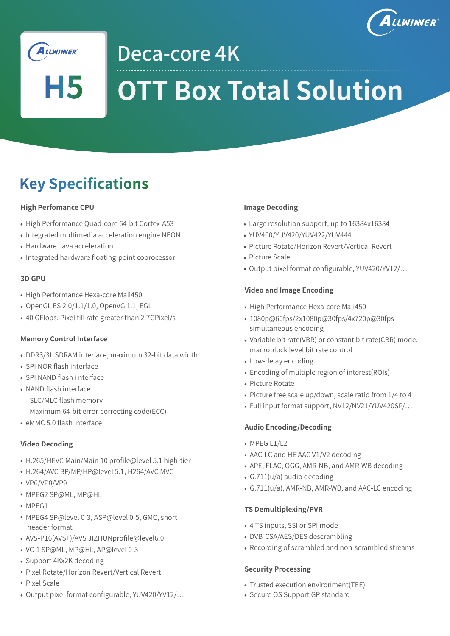



H5

Deca-core 4K

# **OTT Box Total Solution**

# **Key Specifications**

### **High Perfomance CPU**

- High Performance Quad-core 64-bit Cortex-A53
- Integrated multimedia acceleration engine NEON
- Hardware Java acceleration
- Integrated hardware floating-point coprocessor

#### **3D GPU**

- High Performance Hexa-core Mali450
- OpenGL ES 2.0/1.1/1.0, OpenVG 1.1, EGL
- 40 GFlops, Pixel fill rate greater than 2.7GPixel/s

### **Memory Control Interface**

- DDR3/3L SDRAM interface, maximum 32-bit data width
- SPI NOR flash interface
- SPI NAND flash i nterface
- NAND flash interface
	- SLC/MLC flash memory
	- Maximum 64-bit error-correcting code(ECC)
- $\bullet$  eMMC 5.0 flash interface

### **Video Decoding**

- H.265/HEVC Main/Main 10 profile@level 5.1 high-tier
- H.264/AVC BP/MP/HP@level 5.1, H264/AVC MVC
- VP6/VP8/VP9
- MPEG2 SP@ML, MP@HL
- MPEG1
- MPEG4 SP@level 0-3, ASP@level 0-5, GMC, short header format
- AVS-P16(AVS+)/AVS JIZHUNprofile@level6.0
- VC-1 SP@ML, MP@HL, AP@level 0-3
- Support 4Kx2K decoding
- Pixel Rotate/Horizon Revert/Vertical Revert
- Pixel Scale
- Output pixel format configurable, YUV420/YV12/...

#### **Image Decoding**

- Large resolution support, up to 16384x16384
- YUV400/YUV420/YUV422/YUV444
- Picture Rotate/Horizon Revert/Vertical Revert
- Picture Scale
- Output pixel format configurable, YUV420/YV12/...

### **Video and Image Encoding**

- High Performance Hexa-core Mali450
- 1080p@60fps/2x1080p@30fps/4x720p@30fps simultaneous encoding
- Variable bit rate(VBR) or constant bit rate(CBR) mode, macroblock level bit rate control
- Low-delay encoding
- Encoding of multiple region of interest(ROIs)
- Picture Rotate
- Picture free scale up/down, scale ratio from 1/4 to 4
- Full input format support, NV12/NV21/YUV420SP/...

### **Audio Encoding/Decoding**

- $\bullet$  MPFG L1/L2
- AAC-LC and HE AAC V1/V2 decoding
- APE, FLAC, OGG, AMR-NB, and AMR-WB decoding
- G.711(u/a) audio decoding
- G.711(u/a), AMR-NB, AMR-WB, and AAC-LC encoding

### **TS Demultiplexing/PVR**

- 4 TS inputs, SSI or SPI mode
- DVB-CSA/AES/DES descrambling
- Recording of scrambled and non-scrambled streams

#### **Security Processing**

- Trusted execution environment(TEE)
- Secure OS Support GP standard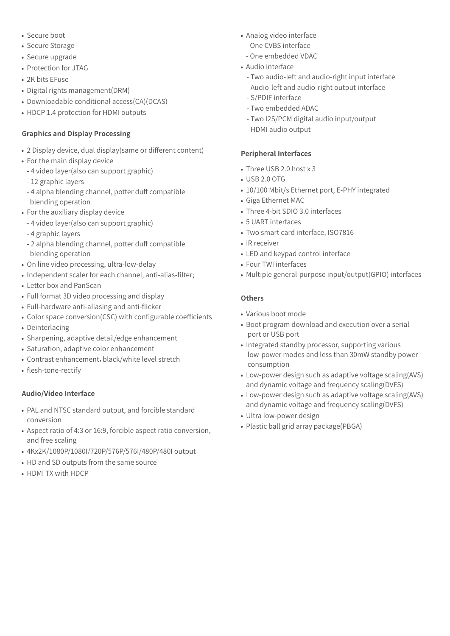- Secure boot
- Secure Storage
- Secure upgrade
- Protection for JTAG
- 2K bits EFuse
- Digital rights management(DRM)
- Downloadable conditional access(CA)(DCAS)
- HDCP 1.4 protection for HDMI outputs

## **Graphics and Display Processing**

- 2 Display device, dual display(same or different content)
- For the main display device
	- 4 video layer(also can support graphic)
	- 12 graphic layers
	- 4 alpha blending channel, potter duff compatible blending operation
- For the auxiliary display device
	- 4 video layer(also can support graphic)
	- 4 graphic layers
	- 2 alpha blending channel, potter duff compatible blending operation
- On line video processing, ultra-low-delay
- Independent scaler for each channel, anti-alias-filter;
- Letter box and PanScan
- Full format 3D video processing and display
- Full-hardware anti-aliasing and anti-flicker
- Color space conversion(CSC) with configurable coefficients Deinterlacing
- Sharpening, adaptive detail/edge enhancement
- Saturation, adaptive color enhancement
- Contrast enhancement, black/white level stretch
- flesh-tone-rectify

### **Audio/Video Interface**

- PAL and NTSC standard output, and forcible standard conversion
- Aspect ratio of 4:3 or 16:9, forcible aspect ratio conversion, and free scaling
- 4Kx2K/1080P/1080I/720P/576P/576I/480P/480I output
- HD and SD outputs from the same source
- HDMI TX with HDCP
- Analog video interface
	- One CVBS interface
	- One embedded VDAC
- Audio interface
	- Two audio-left and audio-right input interface
	- Audio-left and audio-right output interface
	- S/PDIF interface
	- Two embedded ADAC
	- Two I2S/PCM digital audio input/output
	- HDMI audio output

#### **Peripheral Interfaces**

- Three USB 2.0 host x 3
- $\cdot$  USB 2.0 OTG
- 10/100 Mbit/s Ethernet port, E-PHY integrated
- Giga Ethernet MAC
- Three 4-bit SDIO 3.0 interfaces
- 5 UART interfaces
- Two smart card interface, ISO7816
- IR receiver
- LED and keypad control interface
- Four TWI interfaces
- Multiple general-purpose input/output(GPIO) interfaces

#### **Others**

- Various boot mode
- Boot program download and execution over a serial port or USB port
- Integrated standby processor, supporting various low-power modes and less than 30mW standby power consumption
- Low-power design such as adaptive voltage scaling(AVS) and dynamic voltage and frequency scaling(DVFS)
- Low-power design such as adaptive voltage scaling(AVS) and dynamic voltage and frequency scaling(DVFS)
- Ultra low-power design
- Plastic ball grid array package(PBGA)